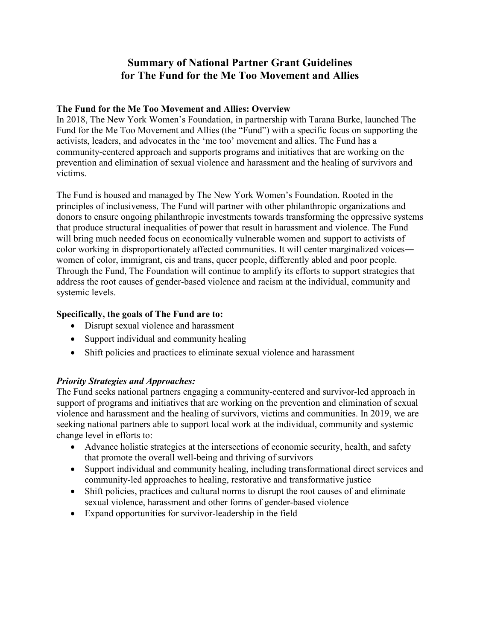# **Summary of National Partner Grant Guidelines for The Fund for the Me Too Movement and Allies**

#### **The Fund for the Me Too Movement and Allies: Overview**

In 2018, The New York Women's Foundation, in partnership with Tarana Burke, launched The Fund for the Me Too Movement and Allies (the "Fund") with a specific focus on supporting the activists, leaders, and advocates in the 'me too' movement and allies. The Fund has a community-centered approach and supports programs and initiatives that are working on the prevention and elimination of sexual violence and harassment and the healing of survivors and victims.

The Fund is housed and managed by The New York Women's Foundation. Rooted in the principles of inclusiveness, The Fund will partner with other philanthropic organizations and donors to ensure ongoing philanthropic investments towards transforming the oppressive systems that produce structural inequalities of power that result in harassment and violence. The Fund will bring much needed focus on economically vulnerable women and support to activists of color working in disproportionately affected communities. It will center marginalized voices women of color, immigrant, cis and trans, queer people, differently abled and poor people. Through the Fund, The Foundation will continue to amplify its efforts to support strategies that address the root causes of gender-based violence and racism at the individual, community and systemic levels.

## **Specifically, the goals of The Fund are to:**

- Disrupt sexual violence and harassment
- Support individual and community healing
- Shift policies and practices to eliminate sexual violence and harassment

## *Priority Strategies and Approaches:*

The Fund seeks national partners engaging a community-centered and survivor-led approach in support of programs and initiatives that are working on the prevention and elimination of sexual violence and harassment and the healing of survivors, victims and communities. In 2019, we are seeking national partners able to support local work at the individual, community and systemic change level in efforts to:

- Advance holistic strategies at the intersections of economic security, health, and safety that promote the overall well-being and thriving of survivors
- Support individual and community healing, including transformational direct services and community-led approaches to healing, restorative and transformative justice
- Shift policies, practices and cultural norms to disrupt the root causes of and eliminate sexual violence, harassment and other forms of gender-based violence
- Expand opportunities for survivor-leadership in the field